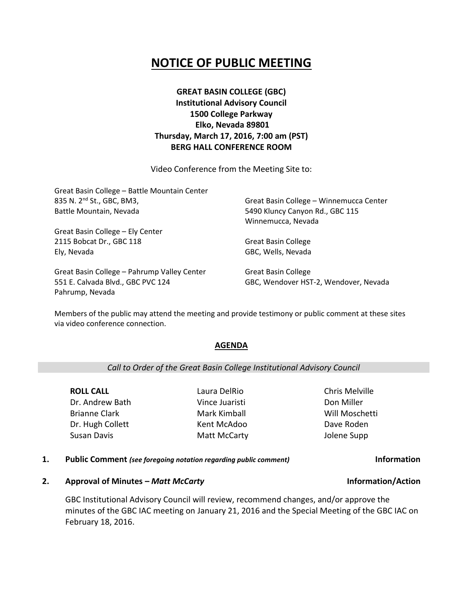# **NOTICE OF PUBLIC MEETING**

# **GREAT BASIN COLLEGE (GBC) Institutional Advisory Council 1500 College Parkway Elko, Nevada 89801 Thursday, March 17, 2016, 7:00 am (PST) BERG HALL CONFERENCE ROOM**

Video Conference from the Meeting Site to:

| Great Basin College - Battle Mountain Center |                                         |
|----------------------------------------------|-----------------------------------------|
| 835 N. 2 <sup>nd</sup> St., GBC, BM3,        | Great Basin College - Winnemucca Center |
| Battle Mountain, Nevada                      | 5490 Kluncy Canyon Rd., GBC 115         |
|                                              | Winnemucca, Nevada                      |
| Great Basin College - Ely Center             |                                         |
| 2115 Bobcat Dr., GBC 118                     | <b>Great Basin College</b>              |
| Ely, Nevada                                  | GBC, Wells, Nevada                      |
| Great Basin College - Pahrump Valley Center  | <b>Great Basin College</b>              |

551 E. Calvada Blvd., GBC PVC 124 Pahrump, Nevada

Great Basin College GBC, Wendover HST-2, Wendover, Nevada

Members of the public may attend the meeting and provide testimony or public comment at these sites via video conference connection.

### **AGENDA**

*Call to Order of the Great Basin College Institutional Advisory Council*

**ROLL CALL** Dr. Andrew Bath Brianne Clark Dr. Hugh Collett Susan Davis

Laura DelRio Vince Juaristi Mark Kimball Kent McAdoo Matt McCarty Chris Melville Don Miller Will Moschetti Dave Roden Jolene Supp

**1. Public Comment** *(see foregoing notation regarding public comment)* **Information**

### **2. Approval of Minutes –** *Matt McCarty* **Information/Action**

GBC Institutional Advisory Council will review, recommend changes, and/or approve the minutes of the GBC IAC meeting on January 21, 2016 and the Special Meeting of the GBC IAC on February 18, 2016.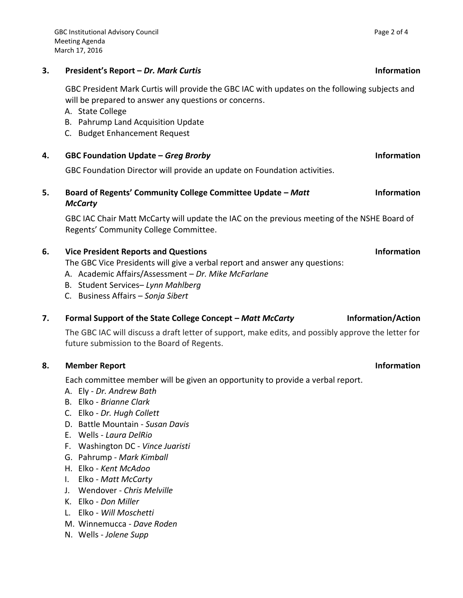## **3. President's Report –** *Dr. Mark Curtis* **Information**

GBC President Mark Curtis will provide the GBC IAC with updates on the following subjects and will be prepared to answer any questions or concerns.

- A. State College
- B. Pahrump Land Acquisition Update
- C. Budget Enhancement Request
- **4. GBC Foundation Update –** *Greg Brorby* **Information**

GBC Foundation Director will provide an update on Foundation activities.

**5. Board of Regents' Community College Committee Update –** *Matt McCarty*

GBC IAC Chair Matt McCarty will update the IAC on the previous meeting of the NSHE Board of Regents' Community College Committee.

# **6. Vice President Reports and Questions Information**

The GBC Vice Presidents will give a verbal report and answer any questions:

- A. Academic Affairs/Assessment *Dr. Mike McFarlane*
- B. Student Services– *Lynn Mahlberg*
- C. Business Affairs *Sonja Sibert*

# 7. **Formal Support of the State College Concept – Matt McCarty <b>Information/Action**

The GBC IAC will discuss a draft letter of support, make edits, and possibly approve the letter for future submission to the Board of Regents.

# **8. Member Report Information**

Each committee member will be given an opportunity to provide a verbal report.

- A. Ely *Dr. Andrew Bath*
- B. Elko *Brianne Clark*
- C. Elko *Dr. Hugh Collett*
- D. Battle Mountain *Susan Davis*
- E. Wells *Laura DelRio*
- F. Washington DC *Vince Juaristi*
- G. Pahrump *Mark Kimball*
- H. Elko *Kent McAdoo*
- I. Elko *Matt McCarty*
- J. Wendover *Chris Melville*
- K. Elko *Don Miller*
- L. Elko *Will Moschetti*
- M. Winnemucca *Dave Roden*
- N. Wells *Jolene Supp*

# **Information**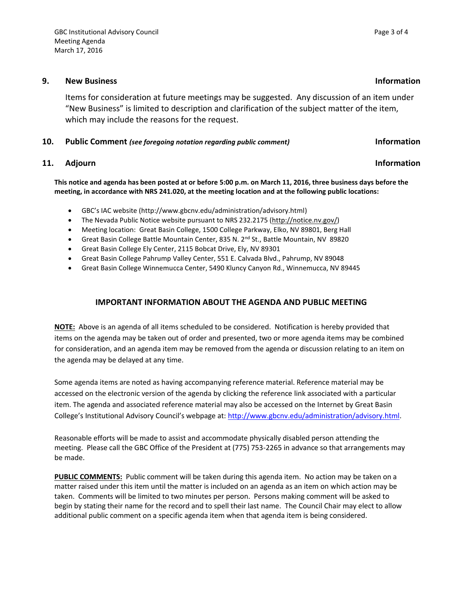### **9. New Business Information**

Items for consideration at future meetings may be suggested. Any discussion of an item under "New Business" is limited to description and clarification of the subject matter of the item, which may include the reasons for the request.

### **10. Public Comment** *(see foregoing notation regarding public comment)* **Information**

# **11.** Adjourn **Information**

**This notice and agenda has been posted at or before 5:00 p.m. on March 11, 2016, three business days before the meeting, in accordance with NRS 241.020, at the meeting location and at the following public locations:**

- GBC's IAC website (http://www.gbcnv.edu/administration/advisory.html)
- The Nevada Public Notice website pursuant to NRS 232.2175 [\(http://notice.nv.gov/\)](http://notice.nv.gov/)
- Meeting location: Great Basin College, 1500 College Parkway, Elko, NV 89801, Berg Hall
- Great Basin College Battle Mountain Center, 835 N. 2<sup>nd</sup> St., Battle Mountain, NV 89820
- Great Basin College Ely Center, 2115 Bobcat Drive, Ely, NV 89301
- Great Basin College Pahrump Valley Center, 551 E. Calvada Blvd., Pahrump, NV 89048
- Great Basin College Winnemucca Center, 5490 Kluncy Canyon Rd., Winnemucca, NV 89445

# **IMPORTANT INFORMATION ABOUT THE AGENDA AND PUBLIC MEETING**

**NOTE:** Above is an agenda of all items scheduled to be considered. Notification is hereby provided that items on the agenda may be taken out of order and presented, two or more agenda items may be combined for consideration, and an agenda item may be removed from the agenda or discussion relating to an item on the agenda may be delayed at any time.

Some agenda items are noted as having accompanying reference material. Reference material may be accessed on the electronic version of the agenda by clicking the reference link associated with a particular item. The agenda and associated reference material may also be accessed on the Internet by Great Basin College's Institutional Advisory Council's webpage at: [http://www.gbcnv.edu/administration/advisory.html.](http://www.gbcnv.edu/administration/advisory.html)

Reasonable efforts will be made to assist and accommodate physically disabled person attending the meeting. Please call the GBC Office of the President at (775) 753-2265 in advance so that arrangements may be made.

**PUBLIC COMMENTS:** Public comment will be taken during this agenda item. No action may be taken on a matter raised under this item until the matter is included on an agenda as an item on which action may be taken. Comments will be limited to two minutes per person. Persons making comment will be asked to begin by stating their name for the record and to spell their last name. The Council Chair may elect to allow additional public comment on a specific agenda item when that agenda item is being considered.